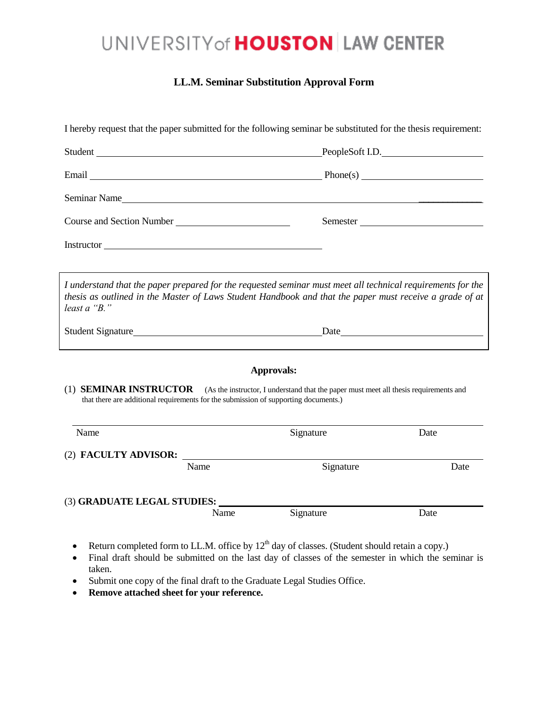## UNIVERSITY of **HOUSTON** LAW CENTER

### **LL.M. Seminar Substitution Approval Form**

| I hereby request that the paper submitted for the following seminar be substituted for the thesis requirement:                                                                                                                         |      |                                                                                                           |                 |
|----------------------------------------------------------------------------------------------------------------------------------------------------------------------------------------------------------------------------------------|------|-----------------------------------------------------------------------------------------------------------|-----------------|
| Student                                                                                                                                                                                                                                |      |                                                                                                           | PeopleSoft I.D. |
|                                                                                                                                                                                                                                        |      |                                                                                                           |                 |
| Seminar Name Lawrence and the second service of the service of the service of the service of the service of the service of the service of the service of the service of the service of the service of the service of the servi         |      |                                                                                                           |                 |
| Course and Section Number<br><u>Leadenborne and the section</u>                                                                                                                                                                        |      | Semester                                                                                                  |                 |
| Instructor                                                                                                                                                                                                                             |      |                                                                                                           |                 |
| I understand that the paper prepared for the requested seminar must meet all technical requirements for the<br>thesis as outlined in the Master of Laws Student Handbook and that the paper must receive a grade of at<br>least a "B." |      |                                                                                                           |                 |
|                                                                                                                                                                                                                                        |      |                                                                                                           |                 |
|                                                                                                                                                                                                                                        |      | Approvals:                                                                                                |                 |
| (1) <b>SEMINAR INSTRUCTOR</b> (As the instructor, I understand that the paper must meet all thesis requirements and<br>that there are additional requirements for the submission of supporting documents.)                             |      |                                                                                                           |                 |
| Name                                                                                                                                                                                                                                   |      | Signature                                                                                                 | Date            |
|                                                                                                                                                                                                                                        |      |                                                                                                           |                 |
| Name                                                                                                                                                                                                                                   |      | Signature                                                                                                 | Date            |
| (3) <b>GRADUATE LEGAL STUDIES:</b>                                                                                                                                                                                                     |      |                                                                                                           |                 |
|                                                                                                                                                                                                                                        | Name | Signature                                                                                                 | Date            |
| $\bullet$                                                                                                                                                                                                                              |      | Return completed form to LL.M. office by 12 <sup>th</sup> day of classes. (Student should retain a copy.) |                 |

- Final draft should be submitted on the last day of classes of the semester in which the seminar is taken.
- Submit one copy of the final draft to the Graduate Legal Studies Office.
- **Remove attached sheet for your reference.**